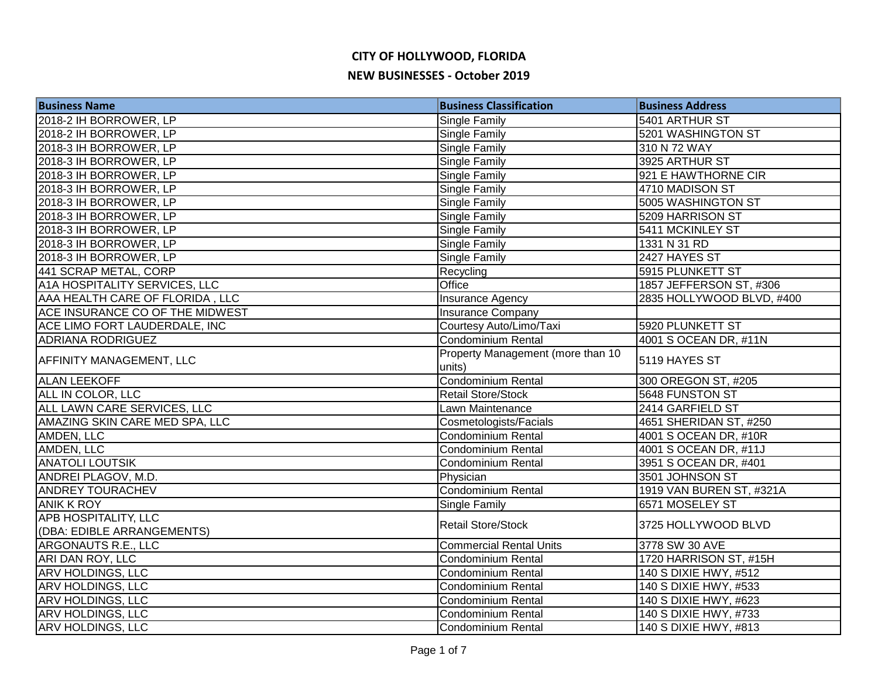| <b>Business Name</b>            | <b>Business Classification</b>              | <b>Business Address</b>   |
|---------------------------------|---------------------------------------------|---------------------------|
| 2018-2 IH BORROWER, LP          | Single Family                               | 5401 ARTHUR ST            |
| 2018-2 IH BORROWER, LP          | <b>Single Family</b>                        | 5201 WASHINGTON ST        |
| 2018-3 IH BORROWER, LP          | Single Family                               | 310 N 72 WAY              |
| 2018-3 IH BORROWER, LP          | Single Family                               | 3925 ARTHUR ST            |
| 2018-3 IH BORROWER, LP          | <b>Single Family</b>                        | 921 E HAWTHORNE CIR       |
| 2018-3 IH BORROWER, LP          | Single Family                               | 4710 MADISON ST           |
| 2018-3 IH BORROWER, LP          | Single Family                               | 5005 WASHINGTON ST        |
| 2018-3 IH BORROWER, LP          | Single Family                               | 5209 HARRISON ST          |
| 2018-3 IH BORROWER, LP          | Single Family                               | 5411 MCKINLEY ST          |
| 2018-3 IH BORROWER, LP          | Single Family                               | 1331 N 31 RD              |
| 2018-3 IH BORROWER, LP          | <b>Single Family</b>                        | 2427 HAYES ST             |
| 441 SCRAP METAL, CORP           | Recycling                                   | 5915 PLUNKETT ST          |
| A1A HOSPITALITY SERVICES, LLC   | Office                                      | 1857 JEFFERSON ST, #306   |
| AAA HEALTH CARE OF FLORIDA, LLC | Insurance Agency                            | 2835 HOLLYWOOD BLVD, #400 |
| ACE INSURANCE CO OF THE MIDWEST | <b>Insurance Company</b>                    |                           |
| ACE LIMO FORT LAUDERDALE, INC   | Courtesy Auto/Limo/Taxi                     | 5920 PLUNKETT ST          |
| <b>ADRIANA RODRIGUEZ</b>        | Condominium Rental                          | 4001 S OCEAN DR, #11N     |
| <b>AFFINITY MANAGEMENT, LLC</b> | Property Management (more than 10<br>units) | 5119 HAYES ST             |
| <b>ALAN LEEKOFF</b>             | <b>Condominium Rental</b>                   | 300 OREGON ST, #205       |
| ALL IN COLOR, LLC               | Retail Store/Stock                          | 5648 FUNSTON ST           |
| ALL LAWN CARE SERVICES, LLC     | Lawn Maintenance                            | 2414 GARFIELD ST          |
| AMAZING SKIN CARE MED SPA, LLC  | Cosmetologists/Facials                      | 4651 SHERIDAN ST, #250    |
| AMDEN, LLC                      | Condominium Rental                          | 4001 S OCEAN DR, #10R     |
| AMDEN, LLC                      | <b>Condominium Rental</b>                   | 4001 S OCEAN DR, #11J     |
| <b>ANATOLI LOUTSIK</b>          | Condominium Rental                          | 3951 S OCEAN DR, #401     |
| ANDREI PLAGOV, M.D.             | Physician                                   | 3501 JOHNSON ST           |
| <b>ANDREY TOURACHEV</b>         | Condominium Rental                          | 1919 VAN BUREN ST, #321A  |
| <b>ANIK K ROY</b>               | <b>Single Family</b>                        | 6571 MOSELEY ST           |
| <b>APB HOSPITALITY, LLC</b>     | Retail Store/Stock                          | 3725 HOLLYWOOD BLVD       |
| (DBA: EDIBLE ARRANGEMENTS)      |                                             |                           |
| <b>ARGONAUTS R.E., LLC</b>      | <b>Commercial Rental Units</b>              | 3778 SW 30 AVE            |
| ARI DAN ROY, LLC                | <b>Condominium Rental</b>                   | 1720 HARRISON ST, #15H    |
| <b>ARV HOLDINGS, LLC</b>        | <b>Condominium Rental</b>                   | 140 S DIXIE HWY, #512     |
| <b>ARV HOLDINGS, LLC</b>        | Condominium Rental                          | 140 S DIXIE HWY, #533     |
| <b>ARV HOLDINGS, LLC</b>        | Condominium Rental                          | 140 S DIXIE HWY, #623     |
| <b>ARV HOLDINGS, LLC</b>        | Condominium Rental                          | 140 S DIXIE HWY, #733     |
| <b>ARV HOLDINGS, LLC</b>        | Condominium Rental                          | 140 S DIXIE HWY, #813     |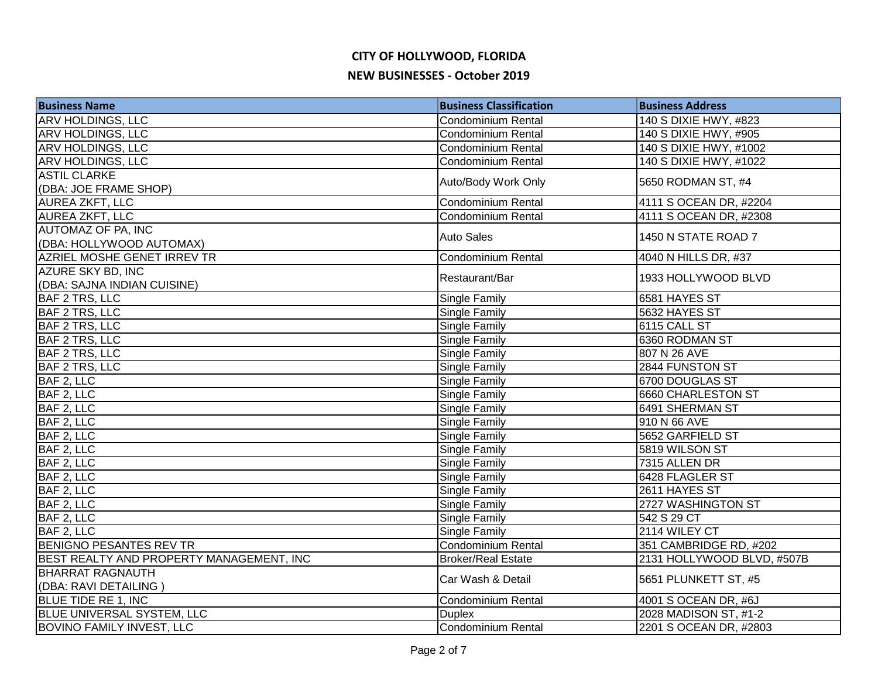| <b>Business Name</b>                     | <b>Business Classification</b> | <b>Business Address</b>    |
|------------------------------------------|--------------------------------|----------------------------|
| <b>ARV HOLDINGS, LLC</b>                 | Condominium Rental             | 140 S DIXIE HWY, #823      |
| <b>ARV HOLDINGS, LLC</b>                 | <b>Condominium Rental</b>      | 140 S DIXIE HWY, #905      |
| <b>ARV HOLDINGS, LLC</b>                 | Condominium Rental             | 140 S DIXIE HWY, #1002     |
| ARV HOLDINGS, LLC                        | Condominium Rental             | 140 S DIXIE HWY, #1022     |
| <b>ASTIL CLARKE</b>                      |                                |                            |
| (DBA: JOE FRAME SHOP)                    | Auto/Body Work Only            | 5650 RODMAN ST, #4         |
| <b>AUREA ZKFT, LLC</b>                   | Condominium Rental             | 4111 S OCEAN DR, #2204     |
| <b>AUREA ZKFT, LLC</b>                   | <b>Condominium Rental</b>      | 4111 S OCEAN DR, #2308     |
| AUTOMAZ OF PA, INC                       | <b>Auto Sales</b>              | 1450 N STATE ROAD 7        |
| (DBA: HOLLYWOOD AUTOMAX)                 |                                |                            |
| AZRIEL MOSHE GENET IRREV TR              | Condominium Rental             | 4040 N HILLS DR, #37       |
| AZURE SKY BD, INC                        |                                | 1933 HOLLYWOOD BLVD        |
| (DBA: SAJNA INDIAN CUISINE)              | Restaurant/Bar                 |                            |
| <b>BAF 2 TRS, LLC</b>                    | Single Family                  | 6581 HAYES ST              |
| <b>BAF 2 TRS, LLC</b>                    | Single Family                  | 5632 HAYES ST              |
| <b>BAF 2 TRS, LLC</b>                    | Single Family                  | 6115 CALL ST               |
| <b>BAF 2 TRS, LLC</b>                    | Single Family                  | 6360 RODMAN ST             |
| BAF 2 TRS, LLC                           | <b>Single Family</b>           | 807 N 26 AVE               |
| BAF 2 TRS, LLC                           | Single Family                  | 2844 FUNSTON ST            |
| BAF 2, LLC                               | Single Family                  | 6700 DOUGLAS ST            |
| BAF 2, LLC                               | Single Family                  | 6660 CHARLESTON ST         |
| BAF 2, LLC                               | Single Family                  | 6491 SHERMAN ST            |
| BAF 2, LLC                               | Single Family                  | 910 N 66 AVE               |
| BAF 2, LLC                               | Single Family                  | 5652 GARFIELD ST           |
| BAF 2, LLC                               | <b>Single Family</b>           | 5819 WILSON ST             |
| BAF 2, LLC                               | Single Family                  | 7315 ALLEN DR              |
| BAF 2, LLC                               | <b>Single Family</b>           | 6428 FLAGLER ST            |
| BAF 2, LLC                               | <b>Single Family</b>           | 2611 HAYES ST              |
| BAF 2, LLC                               | <b>Single Family</b>           | 2727 WASHINGTON ST         |
| BAF 2, LLC                               | Single Family                  | 542 S 29 CT                |
| BAF 2, LLC                               | Single Family                  | 2114 WILEY CT              |
| <b>BENIGNO PESANTES REV TR</b>           | Condominium Rental             | 351 CAMBRIDGE RD, #202     |
| BEST REALTY AND PROPERTY MANAGEMENT, INC | <b>Broker/Real Estate</b>      | 2131 HOLLYWOOD BLVD, #507B |
| <b>BHARRAT RAGNAUTH</b>                  |                                | 5651 PLUNKETT ST, #5       |
| (DBA: RAVI DETAILING)                    | Car Wash & Detail              |                            |
| <b>BLUE TIDE RE 1, INC</b>               | Condominium Rental             | 4001 S OCEAN DR, #6J       |
| <b>BLUE UNIVERSAL SYSTEM, LLC</b>        | <b>Duplex</b>                  | 2028 MADISON ST, #1-2      |
| <b>BOVINO FAMILY INVEST, LLC</b>         | Condominium Rental             | 2201 S OCEAN DR, #2803     |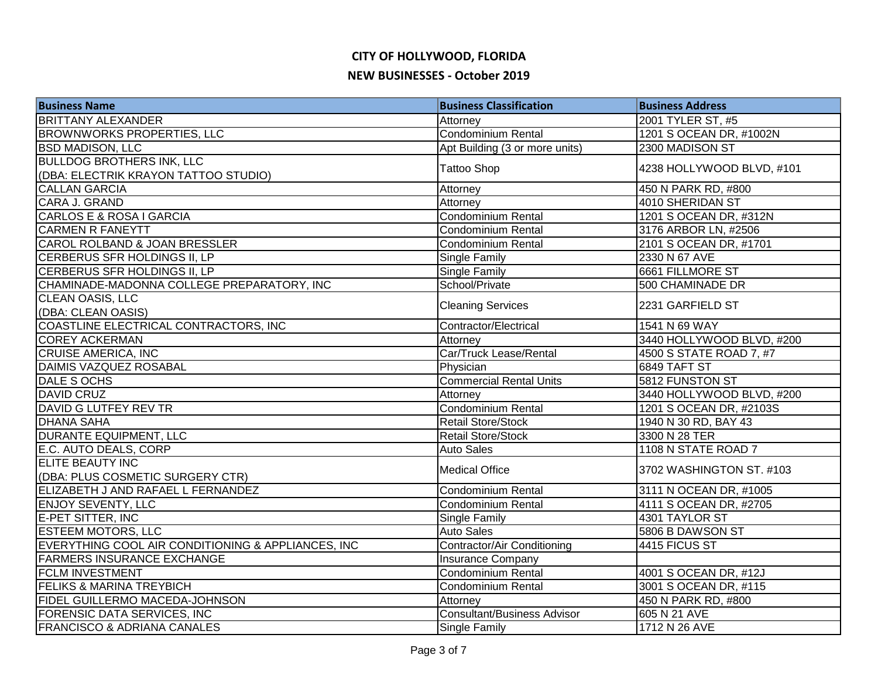# **CITY OF HOLLYWOOD, FLORIDA**

#### **NEW BUSINESSES - October 2019**

| <b>Business Name</b>                               | <b>Business Classification</b>     | <b>Business Address</b>   |
|----------------------------------------------------|------------------------------------|---------------------------|
| <b>BRITTANY ALEXANDER</b>                          | Attorney                           | 2001 TYLER ST, #5         |
| <b>BROWNWORKS PROPERTIES, LLC</b>                  | <b>Condominium Rental</b>          | 1201 S OCEAN DR, #1002N   |
| <b>BSD MADISON, LLC</b>                            | Apt Building (3 or more units)     | 2300 MADISON ST           |
| <b>BULLDOG BROTHERS INK, LLC</b>                   |                                    | 4238 HOLLYWOOD BLVD, #101 |
| (DBA: ELECTRIK KRAYON TATTOO STUDIO)               | <b>Tattoo Shop</b>                 |                           |
| <b>CALLAN GARCIA</b>                               | Attorney                           | 450 N PARK RD, #800       |
| CARA J. GRAND                                      | Attorney                           | 4010 SHERIDAN ST          |
| <b>CARLOS E &amp; ROSA I GARCIA</b>                | <b>Condominium Rental</b>          | 1201 S OCEAN DR, #312N    |
| <b>CARMEN R FANEYTT</b>                            | Condominium Rental                 | 3176 ARBOR LN, #2506      |
| CAROL ROLBAND & JOAN BRESSLER                      | Condominium Rental                 | 2101 S OCEAN DR, #1701    |
| CERBERUS SFR HOLDINGS II, LP                       | <b>Single Family</b>               | 2330 N 67 AVE             |
| CERBERUS SFR HOLDINGS II, LP                       | <b>Single Family</b>               | 6661 FILLMORE ST          |
| CHAMINADE-MADONNA COLLEGE PREPARATORY, INC         | School/Private                     | 500 CHAMINADE DR          |
| CLEAN OASIS, LLC                                   | <b>Cleaning Services</b>           | 2231 GARFIELD ST          |
| (DBA: CLEAN OASIS)                                 |                                    |                           |
| COASTLINE ELECTRICAL CONTRACTORS, INC              | Contractor/Electrical              | 1541 N 69 WAY             |
| <b>COREY ACKERMAN</b>                              | Attorney                           | 3440 HOLLYWOOD BLVD, #200 |
| CRUISE AMERICA, INC                                | Car/Truck Lease/Rental             | 4500 S STATE ROAD 7, #7   |
| <b>DAIMIS VAZQUEZ ROSABAL</b>                      | Physician                          | <b>6849 TAFT ST</b>       |
| DALE S OCHS                                        | <b>Commercial Rental Units</b>     | 5812 FUNSTON ST           |
| <b>DAVID CRUZ</b>                                  | Attorney                           | 3440 HOLLYWOOD BLVD, #200 |
| DAVID G LUTFEY REV TR                              | Condominium Rental                 | 1201 S OCEAN DR, #2103S   |
| <b>DHANA SAHA</b>                                  | <b>Retail Store/Stock</b>          | 1940 N 30 RD, BAY 43      |
| <b>DURANTE EQUIPMENT, LLC</b>                      | <b>Retail Store/Stock</b>          | 3300 N 28 TER             |
| E.C. AUTO DEALS, CORP                              | <b>Auto Sales</b>                  | 1108 N STATE ROAD 7       |
| <b>ELITE BEAUTY INC</b>                            | <b>Medical Office</b>              | 3702 WASHINGTON ST. #103  |
| (DBA: PLUS COSMETIC SURGERY CTR)                   |                                    |                           |
| ELIZABETH J AND RAFAEL L FERNANDEZ                 | Condominium Rental                 | 3111 N OCEAN DR, #1005    |
| <b>ENJOY SEVENTY, LLC</b>                          | <b>Condominium Rental</b>          | 4111 S OCEAN DR, #2705    |
| <b>E-PET SITTER, INC</b>                           | <b>Single Family</b>               | 4301 TAYLOR ST            |
| <b>ESTEEM MOTORS, LLC</b>                          | <b>Auto Sales</b>                  | 5806 B DAWSON ST          |
| EVERYTHING COOL AIR CONDITIONING & APPLIANCES, INC | Contractor/Air Conditioning        | 4415 FICUS ST             |
| <b>FARMERS INSURANCE EXCHANGE</b>                  | Insurance Company                  |                           |
| <b>FCLM INVESTMENT</b>                             | Condominium Rental                 | 4001 S OCEAN DR, #12J     |
| <b>FELIKS &amp; MARINA TREYBICH</b>                | <b>Condominium Rental</b>          | 3001 S OCEAN DR, #115     |
| FIDEL GUILLERMO MACEDA-JOHNSON                     | Attorney                           | 450 N PARK RD, #800       |
| FORENSIC DATA SERVICES, INC                        | <b>Consultant/Business Advisor</b> | 605 N 21 AVE              |
| <b>FRANCISCO &amp; ADRIANA CANALES</b>             | <b>Single Family</b>               | 1712 N 26 AVE             |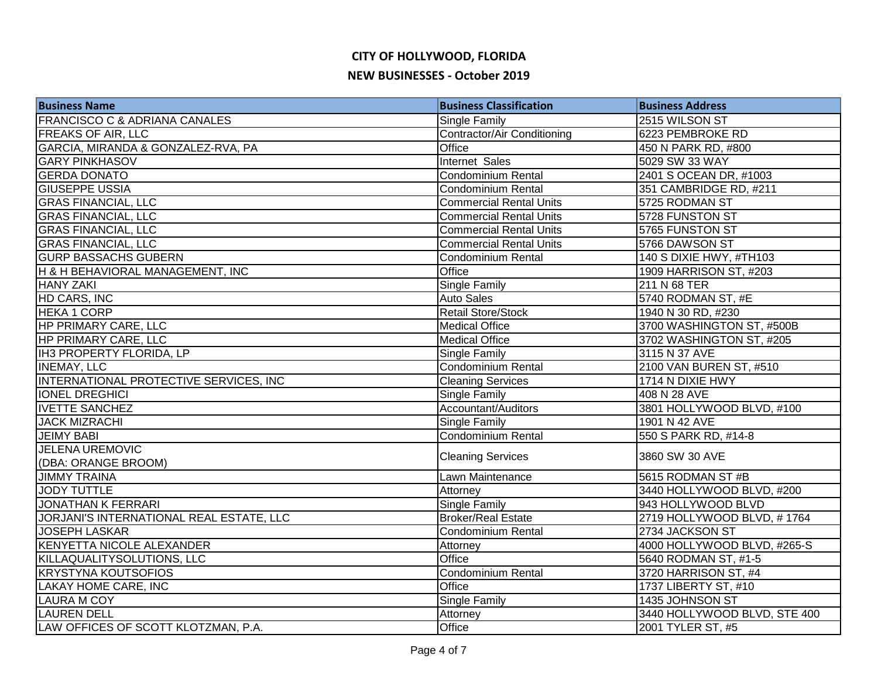| <b>Business Name</b>                          | <b>Business Classification</b>     | <b>Business Address</b>      |
|-----------------------------------------------|------------------------------------|------------------------------|
| <b>FRANCISCO C &amp; ADRIANA CANALES</b>      | Single Family                      | 2515 WILSON ST               |
| <b>FREAKS OF AIR, LLC</b>                     | <b>Contractor/Air Conditioning</b> | 6223 PEMBROKE RD             |
| GARCIA, MIRANDA & GONZALEZ-RVA, PA            | <b>Office</b>                      | 450 N PARK RD, #800          |
| <b>GARY PINKHASOV</b>                         | Internet Sales                     | 5029 SW 33 WAY               |
| <b>GERDA DONATO</b>                           | Condominium Rental                 | 2401 S OCEAN DR, #1003       |
| <b>GIUSEPPE USSIA</b>                         | <b>Condominium Rental</b>          | 351 CAMBRIDGE RD, #211       |
| <b>GRAS FINANCIAL, LLC</b>                    | <b>Commercial Rental Units</b>     | 5725 RODMAN ST               |
| <b>GRAS FINANCIAL, LLC</b>                    | <b>Commercial Rental Units</b>     | 5728 FUNSTON ST              |
| <b>GRAS FINANCIAL, LLC</b>                    | <b>Commercial Rental Units</b>     | 5765 FUNSTON ST              |
| <b>GRAS FINANCIAL, LLC</b>                    | <b>Commercial Rental Units</b>     | 5766 DAWSON ST               |
| <b>GURP BASSACHS GUBERN</b>                   | Condominium Rental                 | 140 S DIXIE HWY, #TH103      |
| H & H BEHAVIORAL MANAGEMENT, INC              | Office                             | 1909 HARRISON ST, #203       |
| <b>HANY ZAKI</b>                              | Single Family                      | 211 N 68 TER                 |
| HD CARS, INC                                  | <b>Auto Sales</b>                  | 5740 RODMAN ST, #E           |
| HEKA 1 CORP                                   | <b>Retail Store/Stock</b>          | 1940 N 30 RD, #230           |
| HP PRIMARY CARE, LLC                          | <b>Medical Office</b>              | 3700 WASHINGTON ST, #500B    |
| HP PRIMARY CARE, LLC                          | <b>Medical Office</b>              | 3702 WASHINGTON ST, #205     |
| IH3 PROPERTY FLORIDA, LP                      | Single Family                      | 3115 N 37 AVE                |
| <b>INEMAY, LLC</b>                            | Condominium Rental                 | 2100 VAN BUREN ST, #510      |
| <b>INTERNATIONAL PROTECTIVE SERVICES, INC</b> | <b>Cleaning Services</b>           | 1714 N DIXIE HWY             |
| <b>IONEL DREGHICI</b>                         | Single Family                      | 408 N 28 AVE                 |
| <b>IVETTE SANCHEZ</b>                         | Accountant/Auditors                | 3801 HOLLYWOOD BLVD, #100    |
| <b>JACK MIZRACHI</b>                          | Single Family                      | 1901 N 42 AVE                |
| <b>JEIMY BABI</b>                             | <b>Condominium Rental</b>          | 550 S PARK RD, #14-8         |
| <b>JELENA UREMOVIC</b>                        |                                    | 3860 SW 30 AVE               |
| (DBA: ORANGE BROOM)                           | <b>Cleaning Services</b>           |                              |
| <b>JIMMY TRAINA</b>                           | Lawn Maintenance                   | 5615 RODMAN ST #B            |
| <b>JODY TUTTLE</b>                            | Attorney                           | 3440 HOLLYWOOD BLVD, #200    |
| <b>JONATHAN K FERRARI</b>                     | <b>Single Family</b>               | 943 HOLLYWOOD BLVD           |
| JORJANI'S INTERNATIONAL REAL ESTATE, LLC      | <b>Broker/Real Estate</b>          | 2719 HOLLYWOOD BLVD, #1764   |
| <b>JOSEPH LASKAR</b>                          | Condominium Rental                 | 2734 JACKSON ST              |
| KENYETTA NICOLE ALEXANDER                     | Attorney                           | 4000 HOLLYWOOD BLVD, #265-S  |
| KILLAQUALITYSOLUTIONS, LLC                    | Office                             | 5640 RODMAN ST, #1-5         |
| <b>KRYSTYNA KOUTSOFIOS</b>                    | Condominium Rental                 | 3720 HARRISON ST, #4         |
| <b>LAKAY HOME CARE, INC</b>                   | Office                             | 1737 LIBERTY ST, #10         |
| <b>LAURA M COY</b>                            | Single Family                      | 1435 JOHNSON ST              |
| <b>LAUREN DELL</b>                            | Attorney                           | 3440 HOLLYWOOD BLVD, STE 400 |
| LAW OFFICES OF SCOTT KLOTZMAN, P.A.           | Office                             | 2001 TYLER ST, #5            |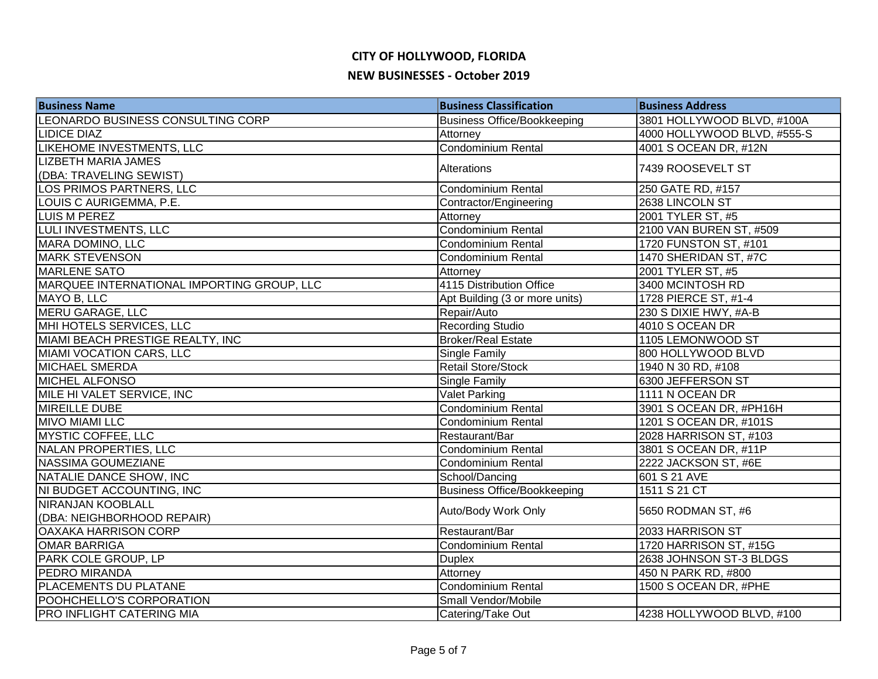| <b>Business Name</b>                       | <b>Business Classification</b>     | <b>Business Address</b>     |
|--------------------------------------------|------------------------------------|-----------------------------|
| LEONARDO BUSINESS CONSULTING CORP          | <b>Business Office/Bookkeeping</b> | 3801 HOLLYWOOD BLVD, #100A  |
| <b>LIDICE DIAZ</b>                         | Attorney                           | 4000 HOLLYWOOD BLVD, #555-S |
| <b>LIKEHOME INVESTMENTS, LLC</b>           | Condominium Rental                 | 4001 S OCEAN DR, #12N       |
| <b>LIZBETH MARIA JAMES</b>                 | Alterations                        | 7439 ROOSEVELT ST           |
| (DBA: TRAVELING SEWIST)                    |                                    |                             |
| LOS PRIMOS PARTNERS, LLC                   | <b>Condominium Rental</b>          | 250 GATE RD, #157           |
| LOUIS C AURIGEMMA, P.E.                    | Contractor/Engineering             | 2638 LINCOLN ST             |
| <b>LUIS M PEREZ</b>                        | Attorney                           | 2001 TYLER ST, #5           |
| LULI INVESTMENTS, LLC                      | <b>Condominium Rental</b>          | 2100 VAN BUREN ST, #509     |
| MARA DOMINO, LLC                           | <b>Condominium Rental</b>          | 1720 FUNSTON ST, #101       |
| <b>MARK STEVENSON</b>                      | Condominium Rental                 | 1470 SHERIDAN ST, #7C       |
| MARLENE SATO                               | Attorney                           | 2001 TYLER ST, #5           |
| MARQUEE INTERNATIONAL IMPORTING GROUP, LLC | 4115 Distribution Office           | 3400 MCINTOSH RD            |
| MAYO B, LLC                                | Apt Building (3 or more units)     | 1728 PIERCE ST, #1-4        |
| MERU GARAGE, LLC                           | Repair/Auto                        | 230 S DIXIE HWY, #A-B       |
| MHI HOTELS SERVICES, LLC                   | <b>Recording Studio</b>            | 4010 S OCEAN DR             |
| MIAMI BEACH PRESTIGE REALTY, INC           | <b>Broker/Real Estate</b>          | 1105 LEMONWOOD ST           |
| MIAMI VOCATION CARS, LLC                   | <b>Single Family</b>               | 800 HOLLYWOOD BLVD          |
| <b>MICHAEL SMERDA</b>                      | <b>Retail Store/Stock</b>          | 1940 N 30 RD, #108          |
| <b>MICHEL ALFONSO</b>                      | Single Family                      | 6300 JEFFERSON ST           |
| MILE HI VALET SERVICE, INC                 | <b>Valet Parking</b>               | 1111 N OCEAN DR             |
| <b>MIREILLE DUBE</b>                       | Condominium Rental                 | 3901 S OCEAN DR, #PH16H     |
| <b>MIVO MIAMI LLC</b>                      | <b>Condominium Rental</b>          | 1201 S OCEAN DR, #101S      |
| <b>MYSTIC COFFEE, LLC</b>                  | Restaurant/Bar                     | 2028 HARRISON ST, #103      |
| NALAN PROPERTIES, LLC                      | <b>Condominium Rental</b>          | 3801 S OCEAN DR, #11P       |
| <b>NASSIMA GOUMEZIANE</b>                  | Condominium Rental                 | 2222 JACKSON ST, #6E        |
| NATALIE DANCE SHOW, INC                    | School/Dancing                     | 601 S 21 AVE                |
| NI BUDGET ACCOUNTING, INC                  | <b>Business Office/Bookkeeping</b> | 1511 S 21 CT                |
| <b>NIRANJAN KOOBLALL</b>                   | Auto/Body Work Only                | 5650 RODMAN ST, #6          |
| (DBA: NEIGHBORHOOD REPAIR)                 |                                    |                             |
| <b>OAXAKA HARRISON CORP</b>                | Restaurant/Bar                     | 2033 HARRISON ST            |
| <b>OMAR BARRIGA</b>                        | <b>Condominium Rental</b>          | 1720 HARRISON ST, #15G      |
| PARK COLE GROUP, LP                        | <b>Duplex</b>                      | 2638 JOHNSON ST-3 BLDGS     |
| PEDRO MIRANDA                              | Attorney                           | 450 N PARK RD, #800         |
| PLACEMENTS DU PLATANE                      | Condominium Rental                 | 1500 S OCEAN DR, #PHE       |
| POOHCHELLO'S CORPORATION                   | Small Vendor/Mobile                |                             |
| PRO INFLIGHT CATERING MIA                  | Catering/Take Out                  | 4238 HOLLYWOOD BLVD, #100   |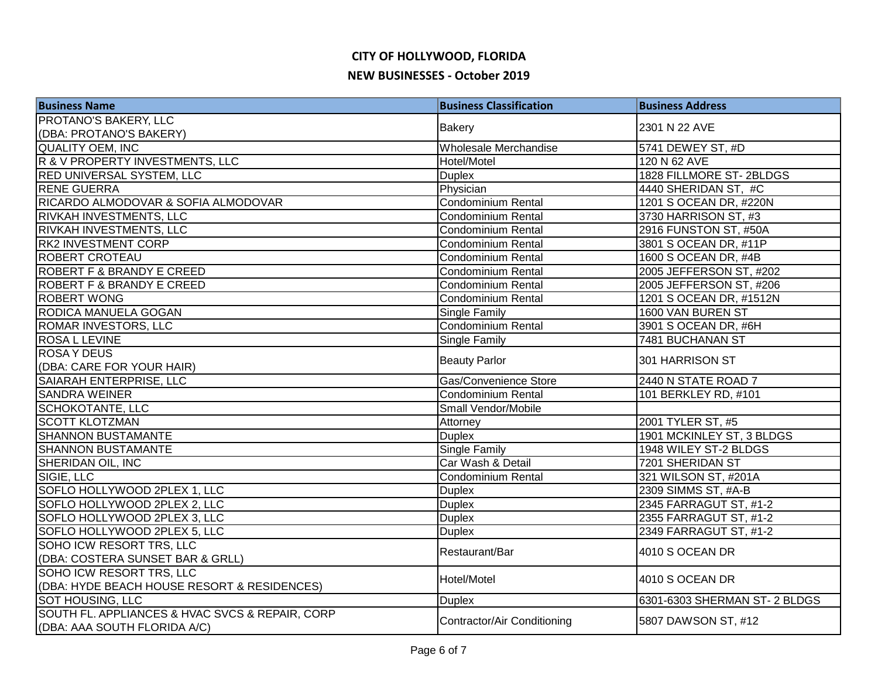| <b>Business Name</b>                            | <b>Business Classification</b>     | <b>Business Address</b>      |
|-------------------------------------------------|------------------------------------|------------------------------|
| PROTANO'S BAKERY, LLC                           |                                    | 2301 N 22 AVE                |
| (DBA: PROTANO'S BAKERY)                         | <b>Bakery</b>                      |                              |
| <b>QUALITY OEM, INC</b>                         | Wholesale Merchandise              | 5741 DEWEY ST, #D            |
| R & V PROPERTY INVESTMENTS, LLC                 | Hotel/Motel                        | 120 N 62 AVE                 |
| RED UNIVERSAL SYSTEM, LLC                       | <b>Duplex</b>                      | 1828 FILLMORE ST-2BLDGS      |
| <b>RENE GUERRA</b>                              | Physician                          | 4440 SHERIDAN ST, #C         |
| RICARDO ALMODOVAR & SOFIA ALMODOVAR             | <b>Condominium Rental</b>          | 1201 S OCEAN DR, #220N       |
| RIVKAH INVESTMENTS, LLC                         | <b>Condominium Rental</b>          | 3730 HARRISON ST, #3         |
| RIVKAH INVESTMENTS, LLC                         | Condominium Rental                 | 2916 FUNSTON ST, #50A        |
| <b>RK2 INVESTMENT CORP</b>                      | Condominium Rental                 | 3801 S OCEAN DR, #11P        |
| <b>ROBERT CROTEAU</b>                           | <b>Condominium Rental</b>          | 1600 S OCEAN DR, #4B         |
| ROBERT F & BRANDY E CREED                       | <b>Condominium Rental</b>          | 2005 JEFFERSON ST, #202      |
| <b>ROBERT F &amp; BRANDY E CREED</b>            | Condominium Rental                 | 2005 JEFFERSON ST, #206      |
| <b>ROBERT WONG</b>                              | Condominium Rental                 | 1201 S OCEAN DR, #1512N      |
| RODICA MANUELA GOGAN                            | Single Family                      | 1600 VAN BUREN ST            |
| <b>ROMAR INVESTORS, LLC</b>                     | Condominium Rental                 | 3901 S OCEAN DR, #6H         |
| <b>ROSA L LEVINE</b>                            | Single Family                      | 7481 BUCHANAN ST             |
| <b>ROSAY DEUS</b>                               | <b>Beauty Parlor</b>               | 301 HARRISON ST              |
| (DBA: CARE FOR YOUR HAIR)                       |                                    |                              |
| SAIARAH ENTERPRISE, LLC                         | Gas/Convenience Store              | 2440 N STATE ROAD 7          |
| <b>SANDRA WEINER</b>                            | Condominium Rental                 | 101 BERKLEY RD, #101         |
| <b>SCHOKOTANTE, LLC</b>                         | Small Vendor/Mobile                |                              |
| <b>SCOTT KLOTZMAN</b>                           | Attorney                           | 2001 TYLER ST, #5            |
| <b>SHANNON BUSTAMANTE</b>                       | <b>Duplex</b>                      | 1901 MCKINLEY ST, 3 BLDGS    |
| <b>SHANNON BUSTAMANTE</b>                       | <b>Single Family</b>               | 1948 WILEY ST-2 BLDGS        |
| SHERIDAN OIL, INC                               | Car Wash & Detail                  | 7201 SHERIDAN ST             |
| SIGIE, LLC                                      | Condominium Rental                 | 321 WILSON ST, #201A         |
| SOFLO HOLLYWOOD 2PLEX 1, LLC                    | <b>Duplex</b>                      | 2309 SIMMS ST, #A-B          |
| SOFLO HOLLYWOOD 2PLEX 2, LLC                    | <b>Duplex</b>                      | 2345 FARRAGUT ST, #1-2       |
| SOFLO HOLLYWOOD 2PLEX 3, LLC                    | <b>Duplex</b>                      | 2355 FARRAGUT ST, #1-2       |
| SOFLO HOLLYWOOD 2PLEX 5, LLC                    | <b>Duplex</b>                      | 2349 FARRAGUT ST, #1-2       |
| SOHO ICW RESORT TRS, LLC                        | Restaurant/Bar                     | 4010 S OCEAN DR              |
| (DBA: COSTERA SUNSET BAR & GRLL)                |                                    |                              |
| SOHO ICW RESORT TRS, LLC                        | Hotel/Motel                        | 4010 S OCEAN DR              |
| (DBA: HYDE BEACH HOUSE RESORT & RESIDENCES)     |                                    |                              |
| <b>SOT HOUSING, LLC</b>                         | <b>Duplex</b>                      | 6301-6303 SHERMAN ST-2 BLDGS |
| SOUTH FL. APPLIANCES & HVAC SVCS & REPAIR, CORP | <b>Contractor/Air Conditioning</b> | 5807 DAWSON ST, #12          |
| (DBA: AAA SOUTH FLORIDA A/C)                    |                                    |                              |